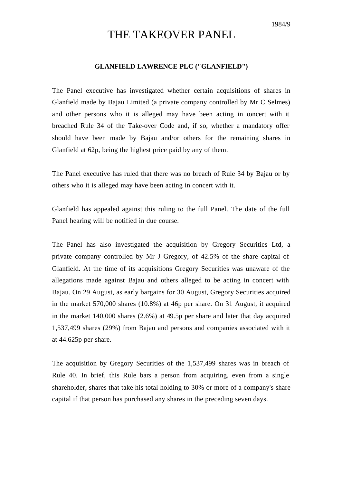## THE TAKEOVER PANEL

## **GLANFIELD LAWRENCE PLC ("GLANFIELD")**

The Panel executive has investigated whether certain acquisitions of shares in Glanfield made by Bajau Limited (a private company controlled by Mr C Selmes) and other persons who it is alleged may have been acting in concert with it breached Rule 34 of the Take-over Code and, if so, whether a mandatory offer should have been made by Bajau and/or others for the remaining shares in Glanfield at 62p, being the highest price paid by any of them.

The Panel executive has ruled that there was no breach of Rule 34 by Bajau or by others who it is alleged may have been acting in concert with it.

Glanfield has appealed against this ruling to the full Panel. The date of the full Panel hearing will be notified in due course.

The Panel has also investigated the acquisition by Gregory Securities Ltd, a private company controlled by Mr J Gregory, of 42.5% of the share capital of Glanfield. At the time of its acquisitions Gregory Securities was unaware of the allegations made against Bajau and others alleged to be acting in concert with Bajau. On 29 August, as early bargains for 30 August, Gregory Securities acquired in the market 570,000 shares (10.8%) at 46p per share. On 31 August, it acquired in the market 140,000 shares (2.6%) at 49.5p per share and later that day acquired 1,537,499 shares (29%) from Bajau and persons and companies associated with it at 44.625p per share.

The acquisition by Gregory Securities of the 1,537,499 shares was in breach of Rule 40. In brief, this Rule bars a person from acquiring, even from a single shareholder, shares that take his total holding to 30% or more of a company's share capital if that person has purchased any shares in the preceding seven days.